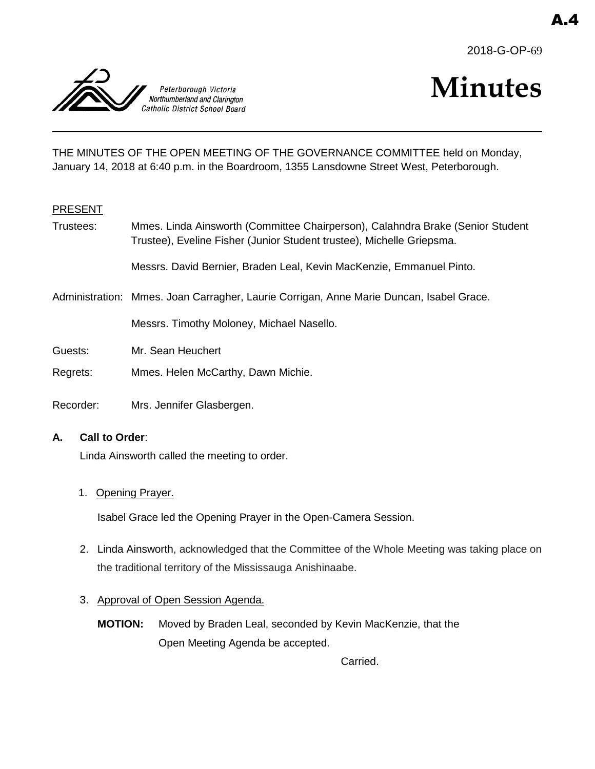



# **Minutes**

THE MINUTES OF THE OPEN MEETING OF THE GOVERNANCE COMMITTEE held on Monday, January 14, 2018 at 6:40 p.m. in the Boardroom, 1355 Lansdowne Street West, Peterborough.

## PRESENT

Trustees: Mmes. Linda Ainsworth (Committee Chairperson), Calahndra Brake (Senior Student Trustee), Eveline Fisher (Junior Student trustee), Michelle Griepsma.

Messrs. David Bernier, Braden Leal, Kevin MacKenzie, Emmanuel Pinto.

Administration: Mmes. Joan Carragher, Laurie Corrigan, Anne Marie Duncan, Isabel Grace.

Messrs. Timothy Moloney, Michael Nasello.

- Guests: Mr. Sean Heuchert
- Regrets: Mmes. Helen McCarthy, Dawn Michie.
- Recorder: Mrs. Jennifer Glasbergen.

#### **A. Call to Order**:

Linda Ainsworth called the meeting to order.

#### 1. Opening Prayer.

Isabel Grace led the Opening Prayer in the Open-Camera Session.

2. Linda Ainsworth, acknowledged that the Committee of the Whole Meeting was taking place on the traditional territory of the Mississauga Anishinaabe.

## 3. Approval of Open Session Agenda.

**MOTION:** Moved by Braden Leal, seconded by Kevin MacKenzie, that the Open Meeting Agenda be accepted.

Carried.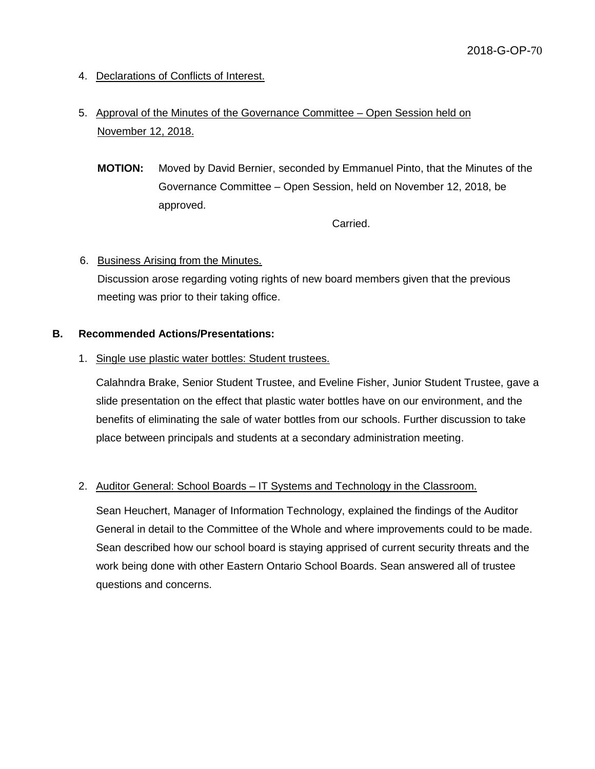- 4. Declarations of Conflicts of Interest.
- 5. Approval of the Minutes of the Governance Committee Open Session held on November 12, 2018.
	- **MOTION:** Moved by David Bernier, seconded by Emmanuel Pinto, that the Minutes of the Governance Committee – Open Session, held on November 12, 2018, be approved.

Carried.

# 6. Business Arising from the Minutes.

Discussion arose regarding voting rights of new board members given that the previous meeting was prior to their taking office.

## **B. Recommended Actions/Presentations:**

1. Single use plastic water bottles: Student trustees.

Calahndra Brake, Senior Student Trustee, and Eveline Fisher, Junior Student Trustee, gave a slide presentation on the effect that plastic water bottles have on our environment, and the benefits of eliminating the sale of water bottles from our schools. Further discussion to take place between principals and students at a secondary administration meeting.

## 2. Auditor General: School Boards - IT Systems and Technology in the Classroom.

Sean Heuchert, Manager of Information Technology, explained the findings of the Auditor General in detail to the Committee of the Whole and where improvements could to be made. Sean described how our school board is staying apprised of current security threats and the work being done with other Eastern Ontario School Boards. Sean answered all of trustee questions and concerns.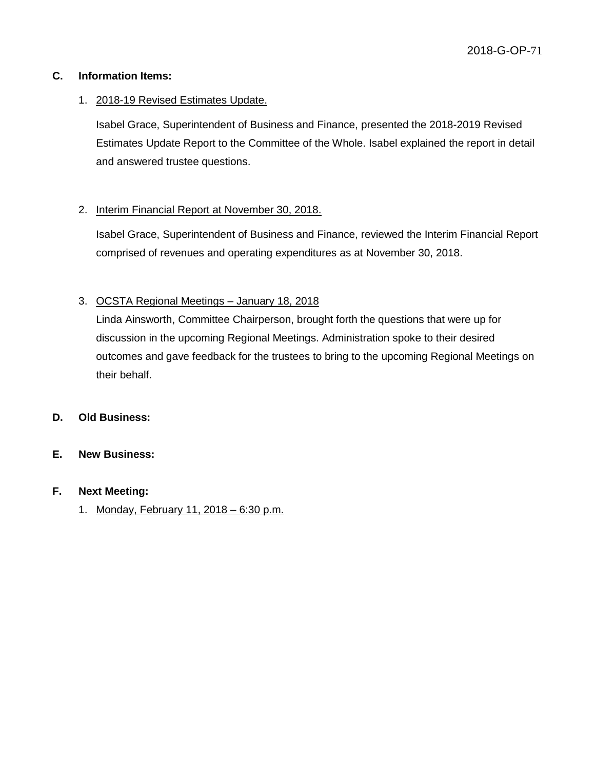# **C. Information Items:**

# 1. 2018-19 Revised Estimates Update.

Isabel Grace, Superintendent of Business and Finance, presented the 2018-2019 Revised Estimates Update Report to the Committee of the Whole. Isabel explained the report in detail and answered trustee questions.

# 2. Interim Financial Report at November 30, 2018.

Isabel Grace, Superintendent of Business and Finance, reviewed the Interim Financial Report comprised of revenues and operating expenditures as at November 30, 2018.

# 3. OCSTA Regional Meetings – January 18, 2018

Linda Ainsworth, Committee Chairperson, brought forth the questions that were up for discussion in the upcoming Regional Meetings. Administration spoke to their desired outcomes and gave feedback for the trustees to bring to the upcoming Regional Meetings on their behalf.

## **D. Old Business:**

## **E. New Business:**

## **F. Next Meeting:**

1. Monday, February 11, 2018 – 6:30 p.m.